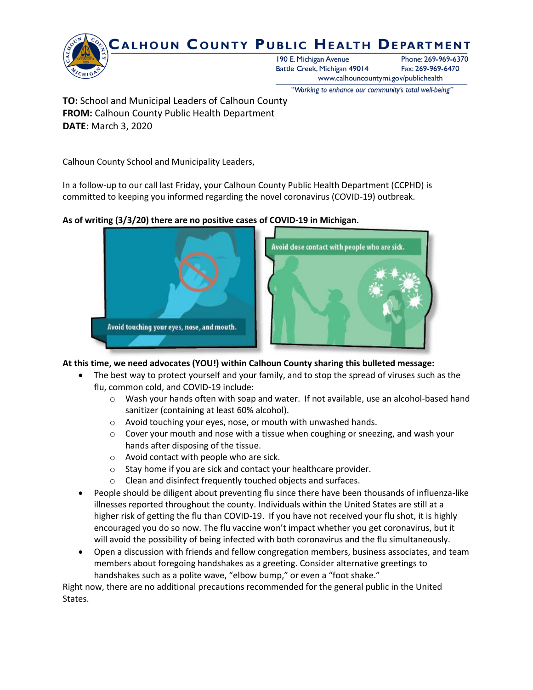

"Working to enhance our community's total well-being"

**TO:** School and Municipal Leaders of Calhoun County **FROM:** Calhoun County Public Health Department **DATE**: March 3, 2020

Calhoun County School and Municipality Leaders,

In a follow-up to our call last Friday, your Calhoun County Public Health Department (CCPHD) is committed to keeping you informed regarding the novel coronavirus (COVID-19) outbreak.

# **As of writing (3/3/20) there are no positive cases of COVID-19 in Michigan.**



# **At this time, we need advocates (YOU!) within Calhoun County sharing this bulleted message:**

- The best way to protect yourself and your family, and to stop the spread of viruses such as the flu, common cold, and COVID-19 include:
	- o Wash your hands often with soap and water. If not available, use an alcohol-based hand sanitizer (containing at least 60% alcohol).
	- o Avoid touching your eyes, nose, or mouth with unwashed hands.
	- $\circ$  Cover your mouth and nose with a tissue when coughing or sneezing, and wash your hands after disposing of the tissue.
	- o Avoid contact with people who are sick.
	- o Stay home if you are sick and contact your healthcare provider.
	- o Clean and disinfect frequently touched objects and surfaces.
- People should be diligent about preventing flu since there have been thousands of influenza-like illnesses reported throughout the county. Individuals within the United States are still at a higher risk of getting the flu than COVID-19. If you have not received your flu shot, it is highly encouraged you do so now. The flu vaccine won't impact whether you get coronavirus, but it will avoid the possibility of being infected with both coronavirus and the flu simultaneously.
- Open a discussion with friends and fellow congregation members, business associates, and team members about foregoing handshakes as a greeting. Consider alternative greetings to handshakes such as a polite wave, "elbow bump," or even a "foot shake."

Right now, there are no additional precautions recommended for the general public in the United States.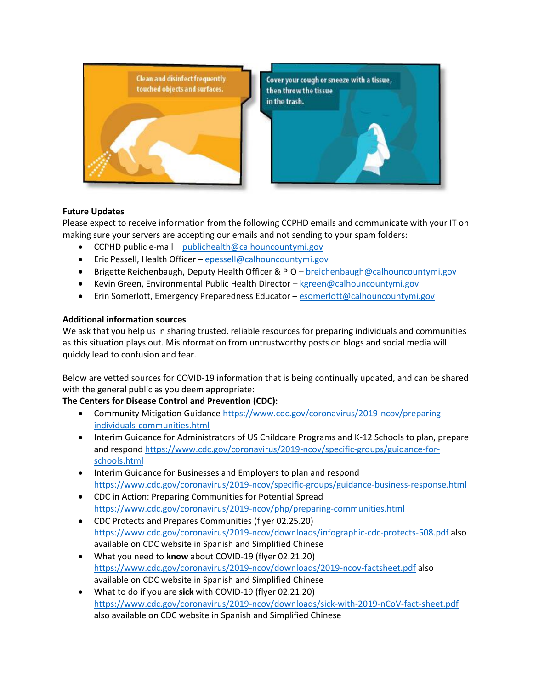

# **Future Updates**

Please expect to receive information from the following CCPHD emails and communicate with your IT on making sure your servers are accepting our emails and not sending to your spam folders:

- CCPHD public e-mail [publichealth@calhouncountymi.gov](mailto:publichealth@calhouncountymi.gov)
- Eric Pessell, Health Officer [epessell@calhouncountymi.gov](mailto:epessell@calhouncountymi.gov)
- Brigette Reichenbaugh, Deputy Health Officer & PIO [breichenbaugh@calhouncountymi.gov](mailto:breichenbaugh@calhouncountymi.gov)
- Kevin Green, Environmental Public Health Director [kgreen@calhouncountymi.gov](mailto:kgreen@calhouncountymi.gov)
- Erin Somerlott, Emergency Preparedness Educator [esomerlott@calhouncountymi.gov](mailto:esomerlott@calhouncountymi.gov)

# **Additional information sources**

We ask that you help us in sharing trusted, reliable resources for preparing individuals and communities as this situation plays out. Misinformation from untrustworthy posts on blogs and social media will quickly lead to confusion and fear.

Below are vetted sources for COVID-19 information that is being continually updated, and can be shared with the general public as you deem appropriate:

**The Centers for Disease Control and Prevention (CDC):**

- Community Mitigation Guidance [https://www.cdc.gov/coronavirus/2019-ncov/preparing](https://gcc01.safelinks.protection.outlook.com/?url=https%3A%2F%2Fwww.cdc.gov%2Fcoronavirus%2F2019-ncov%2Fpreparing-individuals-communities.html&data=02%7C01%7CReiminkB%40michigan.gov%7Cba4f9b0d4032492e8f8408d7bc99e7b9%7Cd5fb7087377742ad966a892ef47225d1%7C0%7C0%7C637185241527311674&sdata=IDiLxHuOAOc7PNaZfBJ1XSy%2Fbp4Ysc%2FTPX3I1kwITTw%3D&reserved=0)[individuals-communities.html](https://gcc01.safelinks.protection.outlook.com/?url=https%3A%2F%2Fwww.cdc.gov%2Fcoronavirus%2F2019-ncov%2Fpreparing-individuals-communities.html&data=02%7C01%7CReiminkB%40michigan.gov%7Cba4f9b0d4032492e8f8408d7bc99e7b9%7Cd5fb7087377742ad966a892ef47225d1%7C0%7C0%7C637185241527311674&sdata=IDiLxHuOAOc7PNaZfBJ1XSy%2Fbp4Ysc%2FTPX3I1kwITTw%3D&reserved=0)
- Interim Guidance for Administrators of US Childcare Programs and K-12 Schools to plan, prepare and respon[d https://www.cdc.gov/coronavirus/2019-ncov/specific-groups/guidance-for](https://gcc01.safelinks.protection.outlook.com/?url=https%3A%2F%2Fwww.cdc.gov%2Fcoronavirus%2F2019-ncov%2Fspecific-groups%2Fguidance-for-schools.html&data=02%7C01%7CReiminkB%40michigan.gov%7Cba4f9b0d4032492e8f8408d7bc99e7b9%7Cd5fb7087377742ad966a892ef47225d1%7C0%7C0%7C637185241527321632&sdata=KJPvGQ83kelwbqwh5gASMOcg1XK5iNXgdgd0wvhiZes%3D&reserved=0)[schools.html](https://gcc01.safelinks.protection.outlook.com/?url=https%3A%2F%2Fwww.cdc.gov%2Fcoronavirus%2F2019-ncov%2Fspecific-groups%2Fguidance-for-schools.html&data=02%7C01%7CReiminkB%40michigan.gov%7Cba4f9b0d4032492e8f8408d7bc99e7b9%7Cd5fb7087377742ad966a892ef47225d1%7C0%7C0%7C637185241527321632&sdata=KJPvGQ83kelwbqwh5gASMOcg1XK5iNXgdgd0wvhiZes%3D&reserved=0)
- Interim Guidance for Businesses and Employers to plan and respond [https://www.cdc.gov/coronavirus/2019-ncov/specific-groups/guidance-business-response.html](https://gcc01.safelinks.protection.outlook.com/?url=https%3A%2F%2Fwww.cdc.gov%2Fcoronavirus%2F2019-ncov%2Fspecific-groups%2Fguidance-business-response.html&data=02%7C01%7CReiminkB%40michigan.gov%7Cba4f9b0d4032492e8f8408d7bc99e7b9%7Cd5fb7087377742ad966a892ef47225d1%7C0%7C0%7C637185241527321632&sdata=p12vddAwiX4%2FwMYeykHil0ORHWP0unDIP1hG5sXQi04%3D&reserved=0)
- CDC in Action: Preparing Communities for Potential Spread [https://www.cdc.gov/coronavirus/2019-ncov/php/preparing-communities.html](https://gcc01.safelinks.protection.outlook.com/?url=https%3A%2F%2Fwww.cdc.gov%2Fcoronavirus%2F2019-ncov%2Fphp%2Fpreparing-communities.html&data=02%7C01%7CReiminkB%40michigan.gov%7Cba4f9b0d4032492e8f8408d7bc99e7b9%7Cd5fb7087377742ad966a892ef47225d1%7C0%7C0%7C637185241527321632&sdata=KUySay5d54zm6OR7XgHxHKARa%2BtINHKHxpLmVH8kud4%3D&reserved=0)
- CDC Protects and Prepares Communities (flyer 02.25.20) <https://www.cdc.gov/coronavirus/2019-ncov/downloads/infographic-cdc-protects-508.pdf> also available on CDC website in Spanish and Simplified Chinese
- What you need to **know** about COVID-19 (flyer 02.21.20) <https://www.cdc.gov/coronavirus/2019-ncov/downloads/2019-ncov-factsheet.pdf> also available on CDC website in Spanish and Simplified Chinese
- What to do if you are **sick** with COVID-19 (flyer 02.21.20) <https://www.cdc.gov/coronavirus/2019-ncov/downloads/sick-with-2019-nCoV-fact-sheet.pdf> also available on CDC website in Spanish and Simplified Chinese